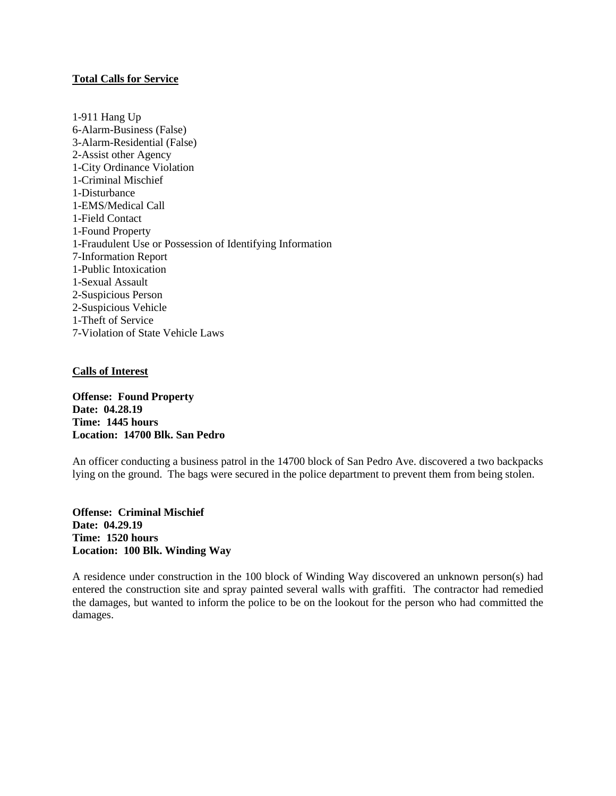## **Total Calls for Service**

1-911 Hang Up 6-Alarm-Business (False) 3-Alarm-Residential (False) 2-Assist other Agency 1-City Ordinance Violation 1-Criminal Mischief 1-Disturbance 1-EMS/Medical Call 1-Field Contact 1-Found Property 1-Fraudulent Use or Possession of Identifying Information 7-Information Report 1-Public Intoxication 1-Sexual Assault 2-Suspicious Person 2-Suspicious Vehicle 1-Theft of Service 7-Violation of State Vehicle Laws

#### **Calls of Interest**

**Offense: Found Property Date: 04.28.19 Time: 1445 hours Location: 14700 Blk. San Pedro**

An officer conducting a business patrol in the 14700 block of San Pedro Ave. discovered a two backpacks lying on the ground. The bags were secured in the police department to prevent them from being stolen.

**Offense: Criminal Mischief Date: 04.29.19 Time: 1520 hours Location: 100 Blk. Winding Way**

A residence under construction in the 100 block of Winding Way discovered an unknown person(s) had entered the construction site and spray painted several walls with graffiti. The contractor had remedied the damages, but wanted to inform the police to be on the lookout for the person who had committed the damages.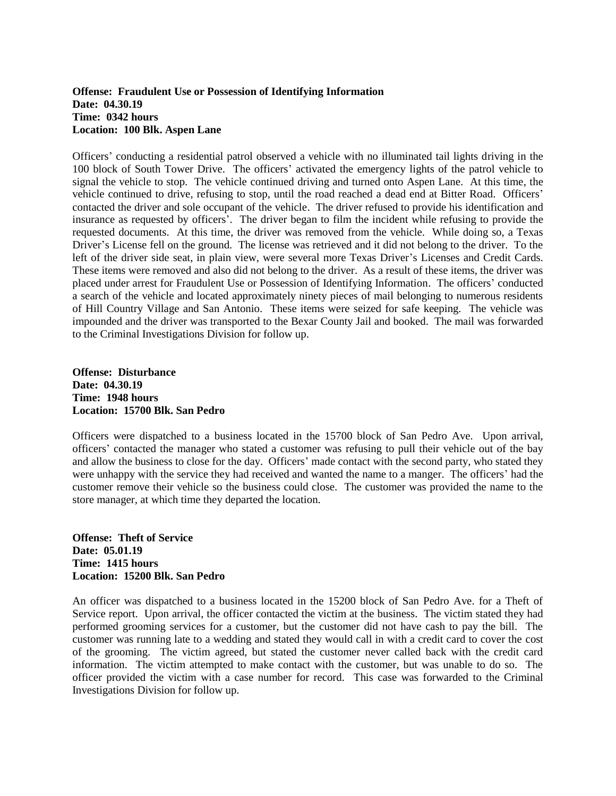# **Offense: Fraudulent Use or Possession of Identifying Information Date: 04.30.19 Time: 0342 hours Location: 100 Blk. Aspen Lane**

Officers' conducting a residential patrol observed a vehicle with no illuminated tail lights driving in the 100 block of South Tower Drive. The officers' activated the emergency lights of the patrol vehicle to signal the vehicle to stop. The vehicle continued driving and turned onto Aspen Lane. At this time, the vehicle continued to drive, refusing to stop, until the road reached a dead end at Bitter Road. Officers' contacted the driver and sole occupant of the vehicle. The driver refused to provide his identification and insurance as requested by officers'. The driver began to film the incident while refusing to provide the requested documents. At this time, the driver was removed from the vehicle. While doing so, a Texas Driver's License fell on the ground. The license was retrieved and it did not belong to the driver. To the left of the driver side seat, in plain view, were several more Texas Driver's Licenses and Credit Cards. These items were removed and also did not belong to the driver. As a result of these items, the driver was placed under arrest for Fraudulent Use or Possession of Identifying Information. The officers' conducted a search of the vehicle and located approximately ninety pieces of mail belonging to numerous residents of Hill Country Village and San Antonio. These items were seized for safe keeping. The vehicle was impounded and the driver was transported to the Bexar County Jail and booked. The mail was forwarded to the Criminal Investigations Division for follow up.

**Offense: Disturbance Date: 04.30.19 Time: 1948 hours Location: 15700 Blk. San Pedro**

Officers were dispatched to a business located in the 15700 block of San Pedro Ave. Upon arrival, officers' contacted the manager who stated a customer was refusing to pull their vehicle out of the bay and allow the business to close for the day. Officers' made contact with the second party, who stated they were unhappy with the service they had received and wanted the name to a manger. The officers' had the customer remove their vehicle so the business could close. The customer was provided the name to the store manager, at which time they departed the location.

**Offense: Theft of Service Date: 05.01.19 Time: 1415 hours Location: 15200 Blk. San Pedro**

An officer was dispatched to a business located in the 15200 block of San Pedro Ave. for a Theft of Service report. Upon arrival, the officer contacted the victim at the business. The victim stated they had performed grooming services for a customer, but the customer did not have cash to pay the bill. The customer was running late to a wedding and stated they would call in with a credit card to cover the cost of the grooming. The victim agreed, but stated the customer never called back with the credit card information. The victim attempted to make contact with the customer, but was unable to do so. The officer provided the victim with a case number for record. This case was forwarded to the Criminal Investigations Division for follow up.